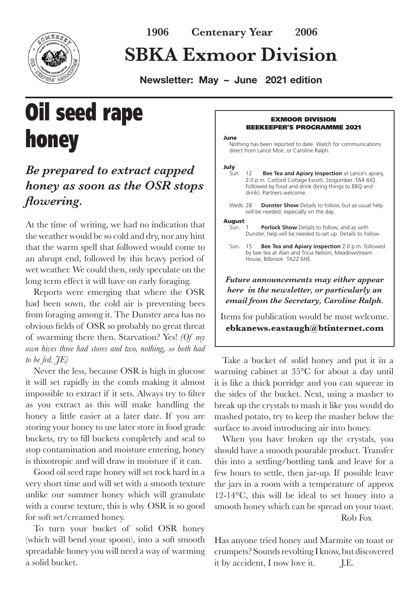

## **SBKA Exmoor Division**

**Newsletter: May – June 2021 edition** 

# Oil seed rape honey

## *Be prepared to extract capped honey as soon as the OSR stops flowering.*

At the time of writing, we had no indication that the weather would be so cold and dry, nor any hint that the warm spell that followed would come to an abrupt end, followed by this heavy period of wet weather. We could then, only speculate on the long term effect it will have on early foraging.

Reports were emerging that where the OSR had been sown, the cold air is preventing bees from foraging among it. The Dunster area has no obvious fields of OSR so probably no great threat of swarming there then. Starvation? Yes! *(Of my own hives three had stores and two, nothing, so both had to be fed. JE)*

Never the less, because OSR is high in glucose it will set rapidly in the comb making it almost impossible to extract if it sets. Always try to filter as you extract as this will make handling the honey a little easier at a later date. If you are storing your honey to use later store in food grade buckets, try to fill buckets completely and seal to stop contamination and moisture entering, honey is thixotropic and will draw in moisture if it can.

Good oil seed rape honey will set rock hard in a very short time and will set with a smooth texture unlike our summer honey which will granulate with a course texture, this is why OSR is so good for soft set/creamed honey.

To turn your bucket of solid OSR honey (which will bend your spoon), into a soft smooth spreadable honey you will need a way of warming a solid bucket.

#### EXMOOR DIVISION BEEKEEPER'S PROGRAMME 2021

#### June

Nothing has been reported to date. Watch for communications direct from Lance Moir, or Caroline Ralph.

### July<br>Sun.

- 12 **Bee Tea and Apiary Inspection** at Lance's apiary, 2.0 p.m. Catford Cottage Escott, Stogumber. TA4 4JQ. Followed by food and drink (bring things to BBQ and drink). Partners welcome.
- Weds. 28 **Dunster Show** Details to follow, but as usual help will be needed, especially on the day.

### August<br>Sun. 1

**Porlock Show** Details to follow, and as with Dunster, help will be needed to set up. Details to follow.

*Future announcements may either appear here in the newsletter, or particularly an email from the Secretary, Caroline Ralph.* 

Items for publication would be most welcome. **ebkanews.eastaugh@btinternet.com**

Take a bucket of solid honey and put it in a warming cabinet at 35°C for about a day until it is like a thick porridge and you can squeeze in the sides of the bucket. Next, using a masher to break up the crystals to mash it like you would do mashed potato, try to keep the masher below the surface to avoid introducing air into honey.

When you have broken up the crystals, you should have a smooth pourable product. Transfer this into a settling/bottling tank and leave for a few hours to settle, then jar-up. If possible leave the jars in a room with a temperature of approx 12-14°C, this will be ideal to set honey into a smooth honey which can be spread on your toast. Rob Fox

Has anyone tried honey and Marmite on toast or crumpets? Sounds revolting I know, but discovered it by accident, I now love it. J.E.

Sun. 15 **Bee Tea and Apiary inspection** 2.0 p.m. followed by bee tea at Alan and Tricia Nelson, Meadowstream House, Bilbrook TA22 6HE.